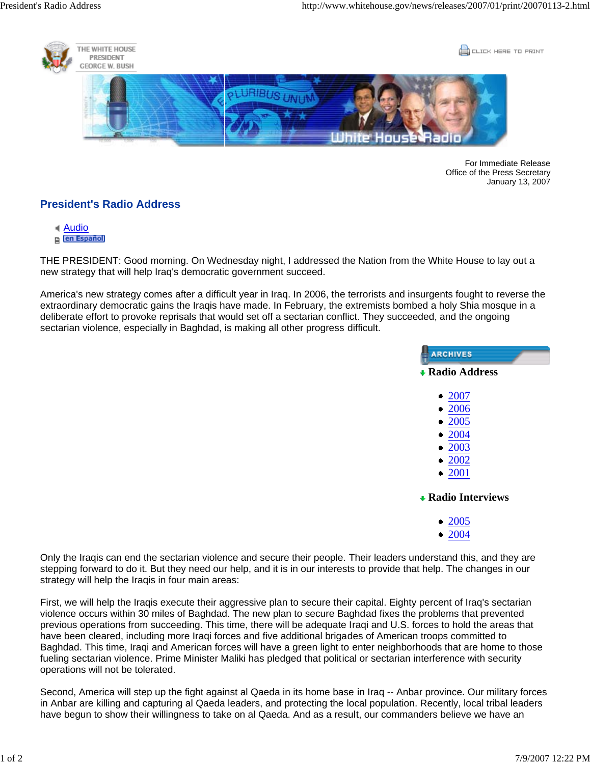

For Immediate Release Office of the Press Secretary January 13, 2007

## **President's Radio Address**

- Audio
- en Español

THE PRESIDENT: Good morning. On Wednesday night, I addressed the Nation from the White House to lay out a new strategy that will help Iraq's democratic government succeed.

America's new strategy comes after a difficult year in Iraq. In 2006, the terrorists and insurgents fought to reverse the extraordinary democratic gains the Iraqis have made. In February, the extremists bombed a holy Shia mosque in a deliberate effort to provoke reprisals that would set off a sectarian conflict. They succeeded, and the ongoing sectarian violence, especially in Baghdad, is making all other progress difficult.



|   | 2007 |
|---|------|
| o | 2006 |
| e | 2005 |
| o | 2004 |
| 0 | 2003 |
|   | 2002 |
|   | 2001 |

**Radio Interviews**

- 2005
- 2004

Only the Iraqis can end the sectarian violence and secure their people. Their leaders understand this, and they are stepping forward to do it. But they need our help, and it is in our interests to provide that help. The changes in our strategy will help the Iraqis in four main areas:

First, we will help the Iraqis execute their aggressive plan to secure their capital. Eighty percent of Iraq's sectarian violence occurs within 30 miles of Baghdad. The new plan to secure Baghdad fixes the problems that prevented previous operations from succeeding. This time, there will be adequate Iraqi and U.S. forces to hold the areas that have been cleared, including more Iraqi forces and five additional brigades of American troops committed to Baghdad. This time, Iraqi and American forces will have a green light to enter neighborhoods that are home to those fueling sectarian violence. Prime Minister Maliki has pledged that political or sectarian interference with security operations will not be tolerated.

Second, America will step up the fight against al Qaeda in its home base in Iraq -- Anbar province. Our military forces in Anbar are killing and capturing al Qaeda leaders, and protecting the local population. Recently, local tribal leaders have begun to show their willingness to take on al Qaeda. And as a result, our commanders believe we have an